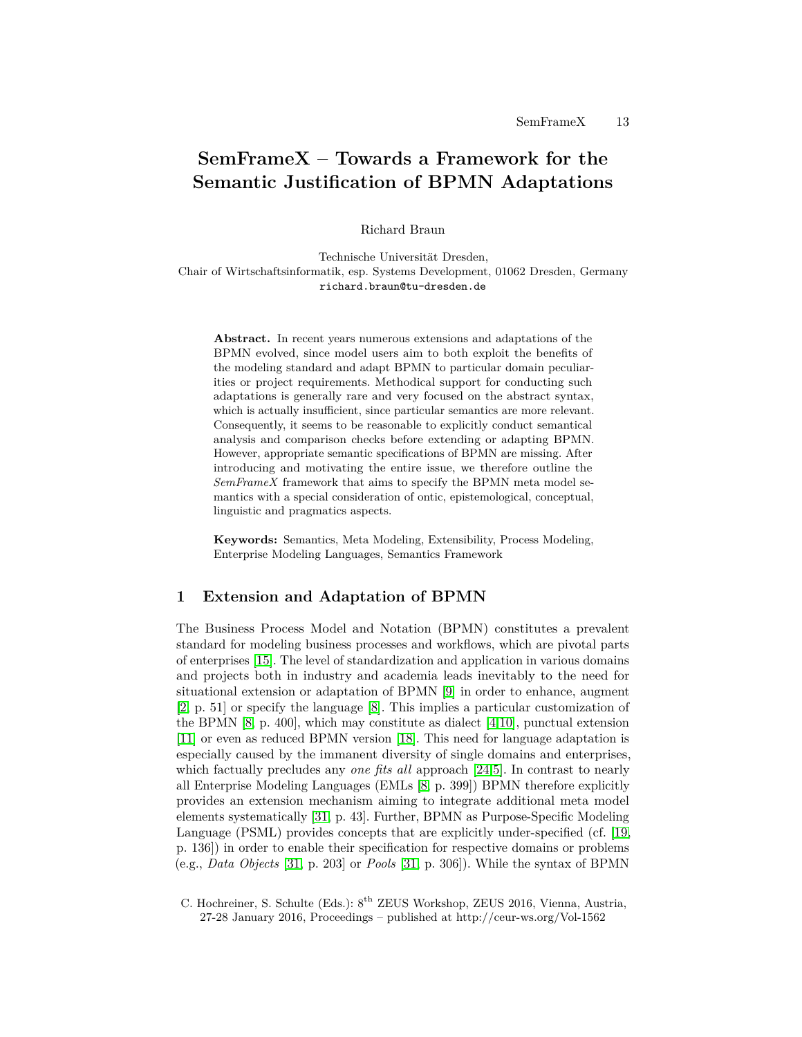# **SemFrameX – Towards a Framework for the Semantic Justification of BPMN Adaptations**

Richard Braun

Technische Universität Dresden, Chair of Wirtschaftsinformatik, esp. Systems Development, 01062 Dresden, Germany richard.braun@tu-dresden.de

**Abstract.** In recent years numerous extensions and adaptations of the BPMN evolved, since model users aim to both exploit the benefits of the modeling standard and adapt BPMN to particular domain peculiarities or project requirements. Methodical support for conducting such adaptations is generally rare and very focused on the abstract syntax, which is actually insufficient, since particular semantics are more relevant. Consequently, it seems to be reasonable to explicitly conduct semantical analysis and comparison checks before extending or adapting BPMN. However, appropriate semantic specifications of BPMN are missing. After introducing and motivating the entire issue, we therefore outline the *SemFrameX* framework that aims to specify the BPMN meta model semantics with a special consideration of ontic, epistemological, conceptual, linguistic and pragmatics aspects.

**Keywords:** Semantics, Meta Modeling, Extensibility, Process Modeling, Enterprise Modeling Languages, Semantics Framework

# <span id="page-0-0"></span>**1 Extension and Adaptation of BPMN**

The Business Process Model and Notation (BPMN) constitutes a prevalent standard for modeling business processes and workflows, which are pivotal parts of enterprises [\[15\]](#page-6-0). The level of standardization and application in various domains and projects both in industry and academia leads inevitably to the need for situational extension or adaptation of BPMN [\[9\]](#page-6-1) in order to enhance, augment [\[2,](#page-5-0) p. 51] or specify the language [\[8\]](#page-6-2). This implies a particular customization of the BPMN  $[8, p. 400]$  $[8, p. 400]$ , which may constitute as dialect  $[4, 10]$  $[4, 10]$ , punctual extension [\[11\]](#page-6-4) or even as reduced BPMN version [\[18\]](#page-6-5). This need for language adaptation is especially caused by the immanent diversity of single domains and enterprises, which factually precludes any *one fits all* approach [\[24,](#page-6-6)[5\]](#page-6-7). In contrast to nearly all Enterprise Modeling Languages (EMLs [\[8,](#page-6-2) p. 399]) BPMN therefore explicitly provides an extension mechanism aiming to integrate additional meta model elements systematically [\[31,](#page-7-0) p. 43]. Further, BPMN as Purpose-Specific Modeling Language (PSML) provides concepts that are explicitly under-specified (cf. [\[19,](#page-6-8) p. 136]) in order to enable their specification for respective domains or problems (e.g., *Data Objects* [\[31,](#page-7-0) p. 203] or *Pools* [\[31,](#page-7-0) p. 306]). While the syntax of BPMN

C. Hochreiner, S. Schulte (Eds.): 8th ZEUS Workshop, ZEUS 2016, Vienna, Austria, 27-28 January 2016, Proceedings – published at http://ceur-ws.org/Vol-1562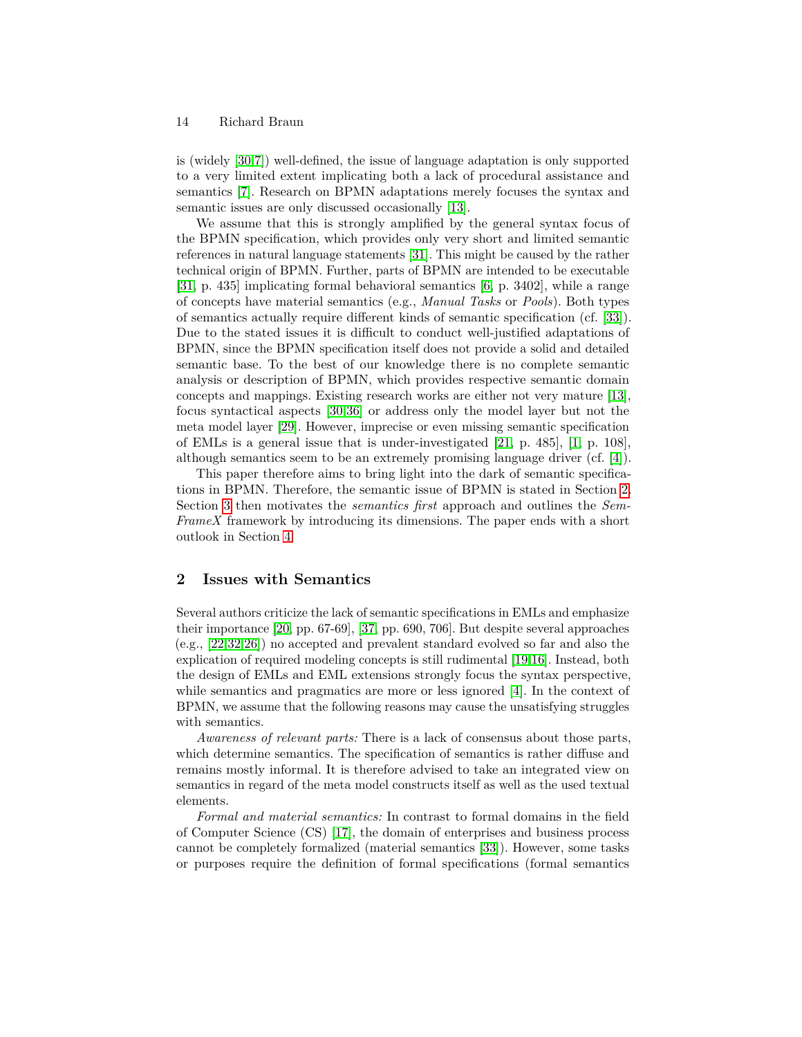#### 14 Richard Braun

is (widely [\[30](#page-7-1)[,7\]](#page-6-9)) well-defined, the issue of language adaptation is only supported to a very limited extent implicating both a lack of procedural assistance and semantics [\[7\]](#page-6-9). Research on BPMN adaptations merely focuses the syntax and semantic issues are only discussed occasionally [\[13\]](#page-6-10).

We assume that this is strongly amplified by the general syntax focus of the BPMN specification, which provides only very short and limited semantic references in natural language statements [\[31\]](#page-7-0). This might be caused by the rather technical origin of BPMN. Further, parts of BPMN are intended to be executable [\[31,](#page-7-0) p. 435] implicating formal behavioral semantics [\[6,](#page-6-11) p. 3402], while a range of concepts have material semantics (e.g., *Manual Tasks* or *Pools*). Both types of semantics actually require different kinds of semantic specification (cf. [\[33\]](#page-7-2)). Due to the stated issues it is difficult to conduct well-justified adaptations of BPMN, since the BPMN specification itself does not provide a solid and detailed semantic base. To the best of our knowledge there is no complete semantic analysis or description of BPMN, which provides respective semantic domain concepts and mappings. Existing research works are either not very mature [\[13\]](#page-6-10), focus syntactical aspects [\[30,](#page-7-1)[36\]](#page-7-3) or address only the model layer but not the meta model layer [\[29\]](#page-7-4). However, imprecise or even missing semantic specification of EMLs is a general issue that is under-investigated [\[21,](#page-6-12) p. 485], [\[1,](#page-5-2) p. 108], although semantics seem to be an extremely promising language driver (cf. [\[4\]](#page-5-1)).

This paper therefore aims to bring light into the dark of semantic specifications in BPMN. Therefore, the semantic issue of BPMN is stated in Section [2.](#page-1-0) Section [3](#page-2-0) then motivates the *semantics first* approach and outlines the *Sem-FrameX* framework by introducing its dimensions. The paper ends with a short outlook in Section [4.](#page-5-3)

# <span id="page-1-0"></span>**2 Issues with Semantics**

Several authors criticize the lack of semantic specifications in EMLs and emphasize their importance [\[20,](#page-6-13) pp. 67-69], [\[37,](#page-7-5) pp. 690, 706]. But despite several approaches (e.g., [\[22](#page-6-14)[,32,](#page-7-6)[26\]](#page-6-15)) no accepted and prevalent standard evolved so far and also the explication of required modeling concepts is still rudimental [\[19,](#page-6-8)[16\]](#page-6-16). Instead, both the design of EMLs and EML extensions strongly focus the syntax perspective, while semantics and pragmatics are more or less ignored [\[4\]](#page-5-1). In the context of BPMN, we assume that the following reasons may cause the unsatisfying struggles with semantics.

*Awareness of relevant parts:* There is a lack of consensus about those parts, which determine semantics. The specification of semantics is rather diffuse and remains mostly informal. It is therefore advised to take an integrated view on semantics in regard of the meta model constructs itself as well as the used textual elements.

*Formal and material semantics:* In contrast to formal domains in the field of Computer Science (CS) [\[17\]](#page-6-17), the domain of enterprises and business process cannot be completely formalized (material semantics [\[33\]](#page-7-2)). However, some tasks or purposes require the definition of formal specifications (formal semantics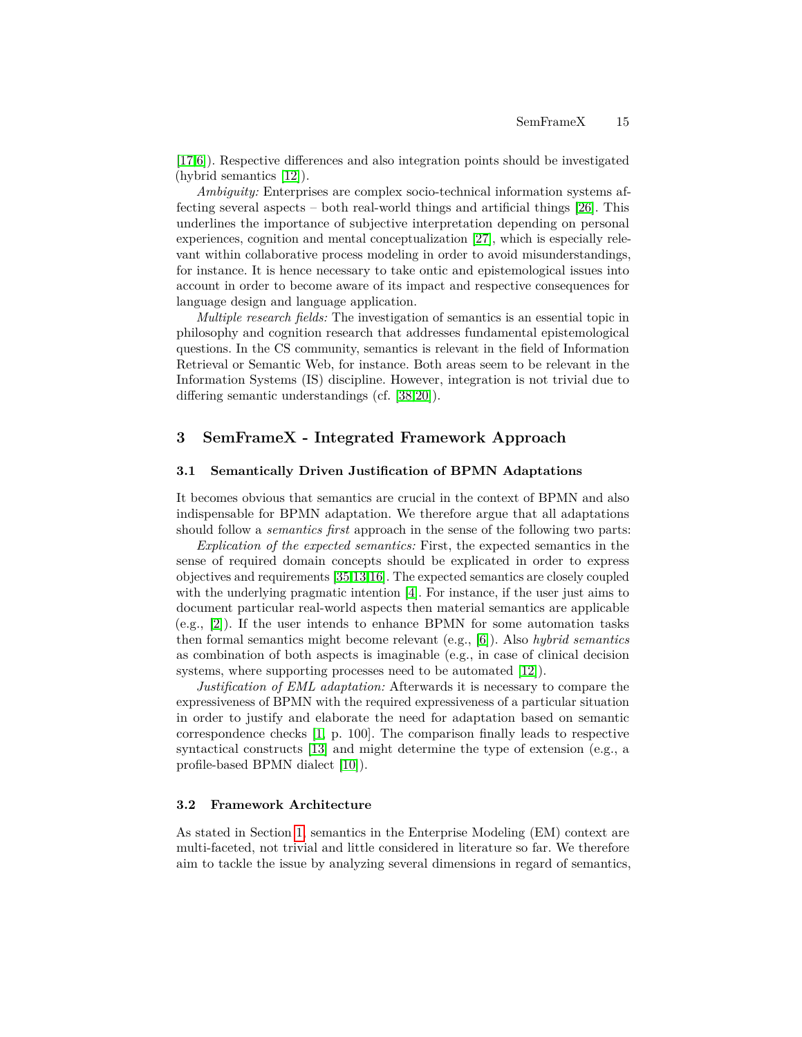[\[17](#page-6-17)[,6\]](#page-6-11)). Respective differences and also integration points should be investigated (hybrid semantics [\[12\]](#page-6-18)).

*Ambiguity:* Enterprises are complex socio-technical information systems affecting several aspects – both real-world things and artificial things [\[26\]](#page-6-15). This underlines the importance of subjective interpretation depending on personal experiences, cognition and mental conceptualization [\[27\]](#page-7-7), which is especially relevant within collaborative process modeling in order to avoid misunderstandings, for instance. It is hence necessary to take ontic and epistemological issues into account in order to become aware of its impact and respective consequences for language design and language application.

*Multiple research fields:* The investigation of semantics is an essential topic in philosophy and cognition research that addresses fundamental epistemological questions. In the CS community, semantics is relevant in the field of Information Retrieval or Semantic Web, for instance. Both areas seem to be relevant in the Information Systems (IS) discipline. However, integration is not trivial due to differing semantic understandings (cf. [\[38,](#page-7-8)[20\]](#page-6-13)).

# <span id="page-2-0"></span>**3 SemFrameX - Integrated Framework Approach**

#### **3.1 Semantically Driven Justification of BPMN Adaptations**

It becomes obvious that semantics are crucial in the context of BPMN and also indispensable for BPMN adaptation. We therefore argue that all adaptations should follow a *semantics first* approach in the sense of the following two parts:

*Explication of the expected semantics:* First, the expected semantics in the sense of required domain concepts should be explicated in order to express objectives and requirements [\[35,](#page-7-9)[13,](#page-6-10)[16\]](#page-6-16). The expected semantics are closely coupled with the underlying pragmatic intention [\[4\]](#page-5-1). For instance, if the user just aims to document particular real-world aspects then material semantics are applicable (e.g., [\[2\]](#page-5-0)). If the user intends to enhance BPMN for some automation tasks then formal semantics might become relevant (e.g., [\[6\]](#page-6-11)). Also *hybrid semantics* as combination of both aspects is imaginable (e.g., in case of clinical decision systems, where supporting processes need to be automated [\[12\]](#page-6-18)).

*Justification of EML adaptation:* Afterwards it is necessary to compare the expressiveness of BPMN with the required expressiveness of a particular situation in order to justify and elaborate the need for adaptation based on semantic correspondence checks [\[1,](#page-5-2) p. 100]. The comparison finally leads to respective syntactical constructs [\[13\]](#page-6-10) and might determine the type of extension (e.g., a profile-based BPMN dialect [\[10\]](#page-6-3)).

## **3.2 Framework Architecture**

As stated in Section [1,](#page-0-0) semantics in the Enterprise Modeling (EM) context are multi-faceted, not trivial and little considered in literature so far. We therefore aim to tackle the issue by analyzing several dimensions in regard of semantics,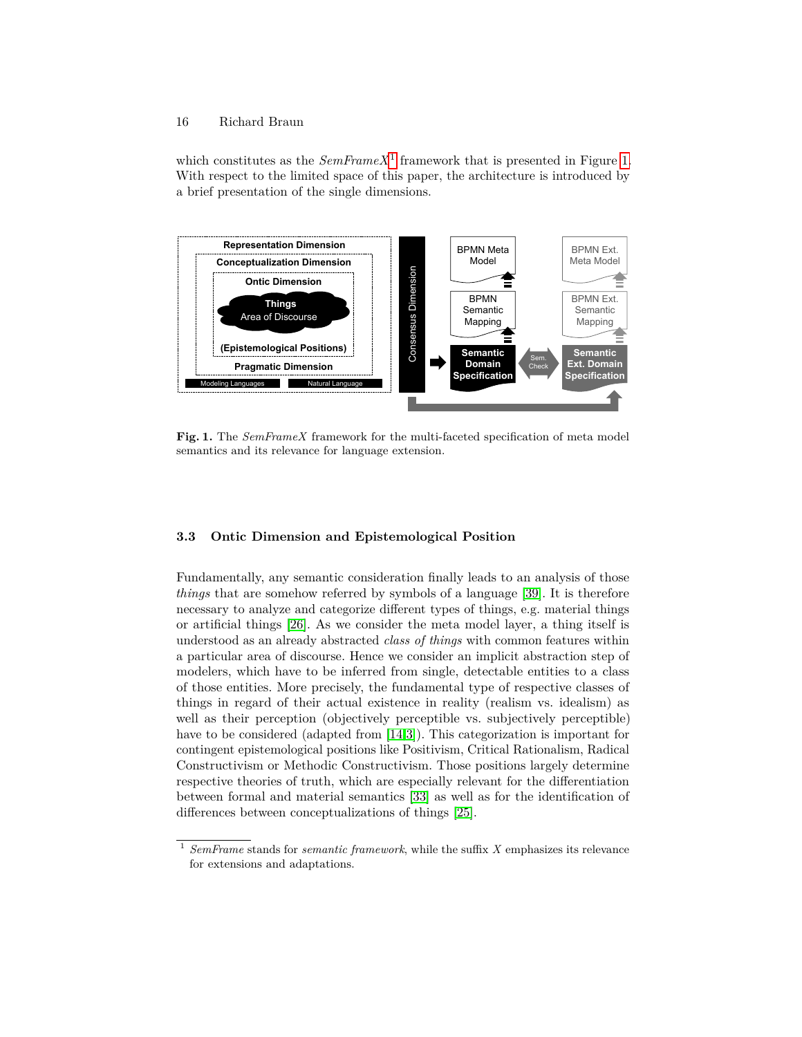## 16 Richard Braun

which constitutes as the  $SemFrameX^1$  $SemFrameX^1$  framework that is presented in Figure [1.](#page-3-1) With respect to the limited space of this paper, the architecture is introduced by a brief presentation of the single dimensions.



<span id="page-3-1"></span>**Fig. 1.** The *SemFrameX* framework for the multi-faceted specification of meta model semantics and its relevance for language extension.

## **3.3 Ontic Dimension and Epistemological Position**

Fundamentally, any semantic consideration finally leads to an analysis of those *things* that are somehow referred by symbols of a language [\[39\]](#page-7-10). It is therefore necessary to analyze and categorize different types of things, e.g. material things or artificial things [\[26\]](#page-6-15). As we consider the meta model layer, a thing itself is understood as an already abstracted *class of things* with common features within a particular area of discourse. Hence we consider an implicit abstraction step of modelers, which have to be inferred from single, detectable entities to a class of those entities. More precisely, the fundamental type of respective classes of things in regard of their actual existence in reality (realism vs. idealism) as well as their perception (objectively perceptible vs. subjectively perceptible) have to be considered (adapted from [\[14,](#page-6-19)[3\]](#page-5-4)). This categorization is important for contingent epistemological positions like Positivism, Critical Rationalism, Radical Constructivism or Methodic Constructivism. Those positions largely determine respective theories of truth, which are especially relevant for the differentiation between formal and material semantics [\[33\]](#page-7-2) as well as for the identification of differences between conceptualizations of things [\[25\]](#page-6-20).

<span id="page-3-0"></span><sup>1</sup> *SemFrame* stands for *semantic framework*, while the suffix *X* emphasizes its relevance for extensions and adaptations.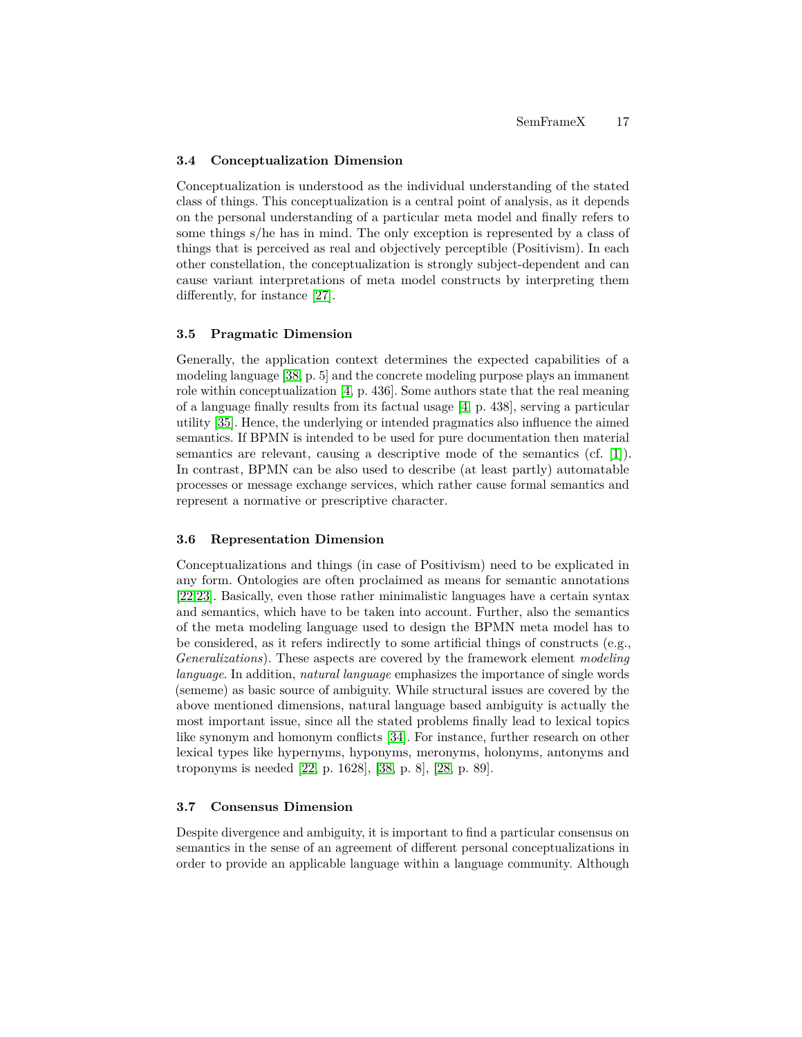#### **3.4 Conceptualization Dimension**

Conceptualization is understood as the individual understanding of the stated class of things. This conceptualization is a central point of analysis, as it depends on the personal understanding of a particular meta model and finally refers to some things s/he has in mind. The only exception is represented by a class of things that is perceived as real and objectively perceptible (Positivism). In each other constellation, the conceptualization is strongly subject-dependent and can cause variant interpretations of meta model constructs by interpreting them differently, for instance [\[27\]](#page-7-7).

#### **3.5 Pragmatic Dimension**

Generally, the application context determines the expected capabilities of a modeling language [\[38,](#page-7-8) p. 5] and the concrete modeling purpose plays an immanent role within conceptualization [\[4,](#page-5-1) p. 436]. Some authors state that the real meaning of a language finally results from its factual usage [\[4,](#page-5-1) p. 438], serving a particular utility [\[35\]](#page-7-9). Hence, the underlying or intended pragmatics also influence the aimed semantics. If BPMN is intended to be used for pure documentation then material semantics are relevant, causing a descriptive mode of the semantics (cf. [\[1\]](#page-5-2)). In contrast, BPMN can be also used to describe (at least partly) automatable processes or message exchange services, which rather cause formal semantics and represent a normative or prescriptive character.

#### **3.6 Representation Dimension**

Conceptualizations and things (in case of Positivism) need to be explicated in any form. Ontologies are often proclaimed as means for semantic annotations [\[22](#page-6-14)[,23\]](#page-6-21). Basically, even those rather minimalistic languages have a certain syntax and semantics, which have to be taken into account. Further, also the semantics of the meta modeling language used to design the BPMN meta model has to be considered, as it refers indirectly to some artificial things of constructs (e.g., *Generalizations*). These aspects are covered by the framework element *modeling language*. In addition, *natural language* emphasizes the importance of single words (sememe) as basic source of ambiguity. While structural issues are covered by the above mentioned dimensions, natural language based ambiguity is actually the most important issue, since all the stated problems finally lead to lexical topics like synonym and homonym conflicts [\[34\]](#page-7-11). For instance, further research on other lexical types like hypernyms, hyponyms, meronyms, holonyms, antonyms and troponyms is needed [\[22,](#page-6-14) p. 1628], [\[38,](#page-7-8) p. 8], [\[28,](#page-7-12) p. 89].

## **3.7 Consensus Dimension**

Despite divergence and ambiguity, it is important to find a particular consensus on semantics in the sense of an agreement of different personal conceptualizations in order to provide an applicable language within a language community. Although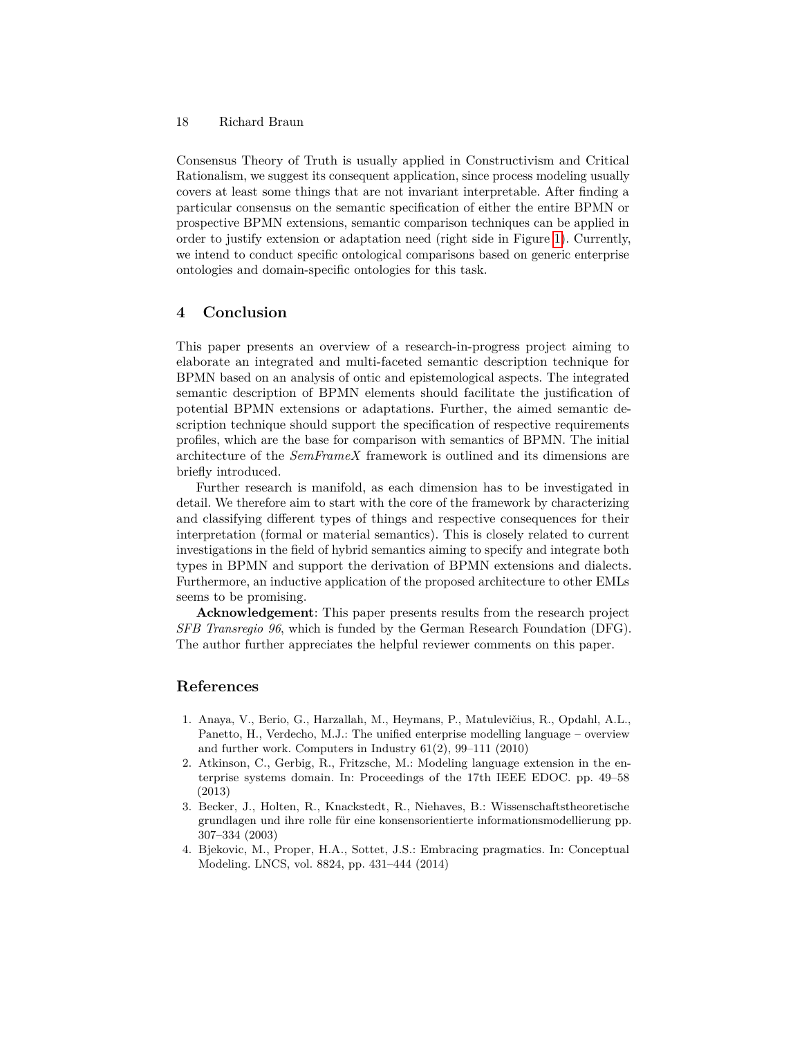#### 18 Richard Braun

Consensus Theory of Truth is usually applied in Constructivism and Critical Rationalism, we suggest its consequent application, since process modeling usually covers at least some things that are not invariant interpretable. After finding a particular consensus on the semantic specification of either the entire BPMN or prospective BPMN extensions, semantic comparison techniques can be applied in order to justify extension or adaptation need (right side in Figure [1\)](#page-3-1). Currently, we intend to conduct specific ontological comparisons based on generic enterprise ontologies and domain-specific ontologies for this task.

# <span id="page-5-3"></span>**4 Conclusion**

This paper presents an overview of a research-in-progress project aiming to elaborate an integrated and multi-faceted semantic description technique for BPMN based on an analysis of ontic and epistemological aspects. The integrated semantic description of BPMN elements should facilitate the justification of potential BPMN extensions or adaptations. Further, the aimed semantic description technique should support the specification of respective requirements profiles, which are the base for comparison with semantics of BPMN. The initial architecture of the *SemFrameX* framework is outlined and its dimensions are briefly introduced.

Further research is manifold, as each dimension has to be investigated in detail. We therefore aim to start with the core of the framework by characterizing and classifying different types of things and respective consequences for their interpretation (formal or material semantics). This is closely related to current investigations in the field of hybrid semantics aiming to specify and integrate both types in BPMN and support the derivation of BPMN extensions and dialects. Furthermore, an inductive application of the proposed architecture to other EMLs seems to be promising.

**Acknowledgement**: This paper presents results from the research project *SFB Transregio 96*, which is funded by the German Research Foundation (DFG). The author further appreciates the helpful reviewer comments on this paper.

# **References**

- <span id="page-5-2"></span>1. Anaya, V., Berio, G., Harzallah, M., Heymans, P., Matulevičius, R., Opdahl, A.L., Panetto, H., Verdecho, M.J.: The unified enterprise modelling language – overview and further work. Computers in Industry 61(2), 99–111 (2010)
- <span id="page-5-0"></span>2. Atkinson, C., Gerbig, R., Fritzsche, M.: Modeling language extension in the enterprise systems domain. In: Proceedings of the 17th IEEE EDOC. pp. 49–58 (2013)
- <span id="page-5-4"></span>3. Becker, J., Holten, R., Knackstedt, R., Niehaves, B.: Wissenschaftstheoretische grundlagen und ihre rolle für eine konsensorientierte informationsmodellierung pp. 307–334 (2003)
- <span id="page-5-1"></span>4. Bjekovic, M., Proper, H.A., Sottet, J.S.: Embracing pragmatics. In: Conceptual Modeling. LNCS, vol. 8824, pp. 431–444 (2014)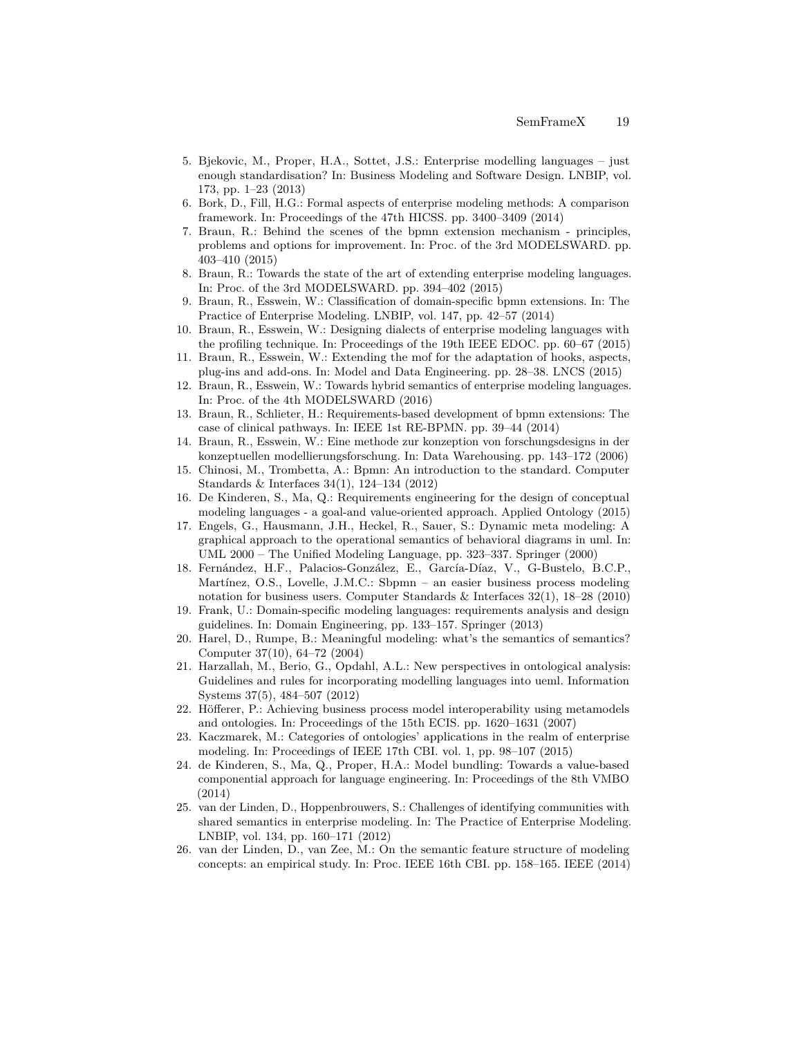- <span id="page-6-7"></span>5. Bjekovic, M., Proper, H.A., Sottet, J.S.: Enterprise modelling languages – just enough standardisation? In: Business Modeling and Software Design. LNBIP, vol. 173, pp. 1–23 (2013)
- <span id="page-6-11"></span>6. Bork, D., Fill, H.G.: Formal aspects of enterprise modeling methods: A comparison framework. In: Proceedings of the 47th HICSS. pp. 3400–3409 (2014)
- <span id="page-6-9"></span>7. Braun, R.: Behind the scenes of the bpmn extension mechanism - principles, problems and options for improvement. In: Proc. of the 3rd MODELSWARD. pp. 403–410 (2015)
- <span id="page-6-2"></span>8. Braun, R.: Towards the state of the art of extending enterprise modeling languages. In: Proc. of the 3rd MODELSWARD. pp. 394–402 (2015)
- <span id="page-6-1"></span>9. Braun, R., Esswein, W.: Classification of domain-specific bpmn extensions. In: The Practice of Enterprise Modeling. LNBIP, vol. 147, pp. 42–57 (2014)
- <span id="page-6-3"></span>10. Braun, R., Esswein, W.: Designing dialects of enterprise modeling languages with the profiling technique. In: Proceedings of the 19th IEEE EDOC. pp. 60–67 (2015)
- <span id="page-6-4"></span>11. Braun, R., Esswein, W.: Extending the mof for the adaptation of hooks, aspects, plug-ins and add-ons. In: Model and Data Engineering. pp. 28–38. LNCS (2015)
- <span id="page-6-18"></span>12. Braun, R., Esswein, W.: Towards hybrid semantics of enterprise modeling languages. In: Proc. of the 4th MODELSWARD (2016)
- <span id="page-6-10"></span>13. Braun, R., Schlieter, H.: Requirements-based development of bpmn extensions: The case of clinical pathways. In: IEEE 1st RE-BPMN. pp. 39–44 (2014)
- <span id="page-6-19"></span>14. Braun, R., Esswein, W.: Eine methode zur konzeption von forschungsdesigns in der konzeptuellen modellierungsforschung. In: Data Warehousing. pp. 143–172 (2006)
- <span id="page-6-0"></span>15. Chinosi, M., Trombetta, A.: Bpmn: An introduction to the standard. Computer Standards & Interfaces 34(1), 124–134 (2012)
- <span id="page-6-16"></span>16. De Kinderen, S., Ma, Q.: Requirements engineering for the design of conceptual modeling languages - a goal-and value-oriented approach. Applied Ontology (2015)
- <span id="page-6-17"></span>17. Engels, G., Hausmann, J.H., Heckel, R., Sauer, S.: Dynamic meta modeling: A graphical approach to the operational semantics of behavioral diagrams in uml. In: UML 2000 – The Unified Modeling Language, pp. 323–337. Springer (2000)
- <span id="page-6-5"></span>18. Fernández, H.F., Palacios-González, E., García-Díaz, V., G-Bustelo, B.C.P., Martínez, O.S., Lovelle, J.M.C.: Sbpmn – an easier business process modeling notation for business users. Computer Standards & Interfaces  $32(1)$ ,  $18-28$  (2010)
- <span id="page-6-8"></span>19. Frank, U.: Domain-specific modeling languages: requirements analysis and design guidelines. In: Domain Engineering, pp. 133–157. Springer (2013)
- <span id="page-6-13"></span>20. Harel, D., Rumpe, B.: Meaningful modeling: what's the semantics of semantics? Computer 37(10), 64–72 (2004)
- <span id="page-6-12"></span>21. Harzallah, M., Berio, G., Opdahl, A.L.: New perspectives in ontological analysis: Guidelines and rules for incorporating modelling languages into ueml. Information Systems 37(5), 484–507 (2012)
- <span id="page-6-14"></span>22. Höfferer, P.: Achieving business process model interoperability using metamodels and ontologies. In: Proceedings of the 15th ECIS. pp. 1620–1631 (2007)
- <span id="page-6-21"></span>23. Kaczmarek, M.: Categories of ontologies' applications in the realm of enterprise modeling. In: Proceedings of IEEE 17th CBI. vol. 1, pp. 98–107 (2015)
- <span id="page-6-6"></span>24. de Kinderen, S., Ma, Q., Proper, H.A.: Model bundling: Towards a value-based componential approach for language engineering. In: Proceedings of the 8th VMBO (2014)
- <span id="page-6-20"></span>25. van der Linden, D., Hoppenbrouwers, S.: Challenges of identifying communities with shared semantics in enterprise modeling. In: The Practice of Enterprise Modeling. LNBIP, vol. 134, pp. 160–171 (2012)
- <span id="page-6-15"></span>26. van der Linden, D., van Zee, M.: On the semantic feature structure of modeling concepts: an empirical study. In: Proc. IEEE 16th CBI. pp. 158–165. IEEE (2014)